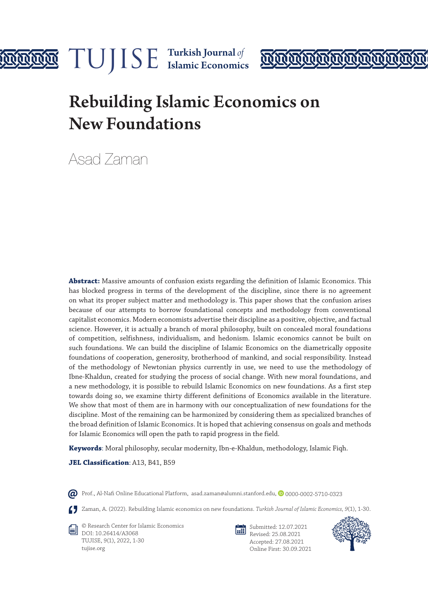

# **MAN**

# Rebuilding Islamic Economics on New Foundations

Asad Zaman

**Abstract:** Massive amounts of confusion exists regarding the definition of Islamic Economics. This has blocked progress in terms of the development of the discipline, since there is no agreement on what its proper subject matter and methodology is. This paper shows that the confusion arises because of our attempts to borrow foundational concepts and methodology from conventional capitalist economics. Modern economists advertise their discipline as a positive, objective, and factual science. However, it is actually a branch of moral philosophy, built on concealed moral foundations of competition, selfishness, individualism, and hedonism. Islamic economics cannot be built on such foundations. We can build the discipline of Islamic Economics on the diametrically opposite foundations of cooperation, generosity, brotherhood of mankind, and social responsibility. Instead of the methodology of Newtonian physics currently in use, we need to use the methodology of Ibne-Khaldun, created for studying the process of social change. With new moral foundations, and a new methodology, it is possible to rebuild Islamic Economics on new foundations. As a first step towards doing so, we examine thirty different definitions of Economics available in the literature. We show that most of them are in harmony with our conceptualization of new foundations for the discipline. Most of the remaining can be harmonized by considering them as specialized branches of the broad definition of Islamic Economics. It is hoped that achieving consensus on goals and methods for Islamic Economics will open the path to rapid progress in the field.

**Keywords**: Moral philosophy, secular modernity, Ibn-e-Khaldun, methodology, Islamic Fiqh.

JEL Classification: A13, B41, B59

 $\varpi$  Prof., Al-Nafi Online Educational Platform, asad.zaman@alumni.stanford.edu,  $\circ$  0000-0002-5710-0323

Zaman, A. (2022). Rebuilding Islamic economics on new foundations. *Turkish Journal of Islamic Economics, 9*(1), 1-30.

© Research Center for Islamic Economics DOI: 10.26414/A3068 TUJISE, 9(1), 2022, 1-30 tujise.org



Submitted: 12.07.2021 Revised: 25.08.2021 Accepted: 27.08.2021 Online First: 30.09.2021

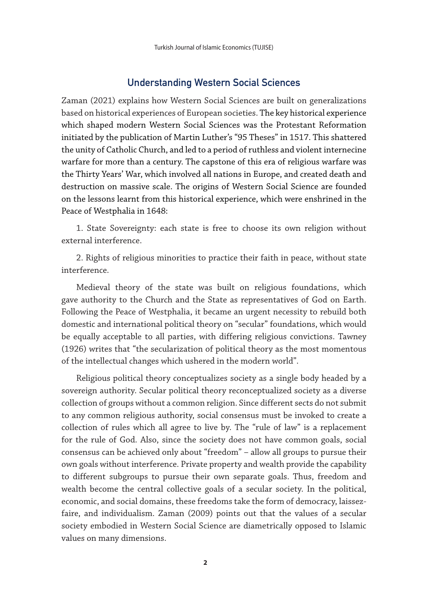## Understanding Western Social Sciences

Zaman (2021) explains how Western Social Sciences are built on generalizations based on historical experiences of European societies. The key historical experience which shaped modern Western Social Sciences was the Protestant Reformation initiated by the publication of Martin Luther's "95 Theses" in 1517. This shattered the unity of Catholic Church, and led to a period of ruthless and violent internecine warfare for more than a century. The capstone of this era of religious warfare was the Thirty Years' War, which involved all nations in Europe, and created death and destruction on massive scale. The origins of Western Social Science are founded on the lessons learnt from this historical experience, which were enshrined in the Peace of Westphalia in 1648:

1. State Sovereignty: each state is free to choose its own religion without external interference.

2. Rights of religious minorities to practice their faith in peace, without state interference.

Medieval theory of the state was built on religious foundations, which gave authority to the Church and the State as representatives of God on Earth. Following the Peace of Westphalia, it became an urgent necessity to rebuild both domestic and international political theory on "secular" foundations, which would be equally acceptable to all parties, with differing religious convictions. Tawney (1926) writes that "the secularization of political theory as the most momentous of the intellectual changes which ushered in the modern world".

Religious political theory conceptualizes society as a single body headed by a sovereign authority. Secular political theory reconceptualized society as a diverse collection of groups without a common religion. Since different sects do not submit to any common religious authority, social consensus must be invoked to create a collection of rules which all agree to live by. The "rule of law" is a replacement for the rule of God. Also, since the society does not have common goals, social consensus can be achieved only about "freedom" – allow all groups to pursue their own goals without interference. Private property and wealth provide the capability to different subgroups to pursue their own separate goals. Thus, freedom and wealth become the central collective goals of a secular society. In the political, economic, and social domains, these freedoms take the form of democracy, laissezfaire, and individualism. Zaman (2009) points out that the values of a secular society embodied in Western Social Science are diametrically opposed to Islamic values on many dimensions.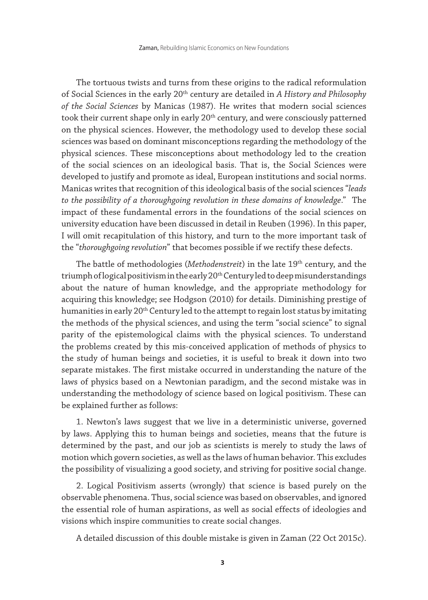The tortuous twists and turns from these origins to the radical reformulation of Social Sciences in the early 20th century are detailed in *A History and Philosophy of the Social Sciences* by Manicas (1987). He writes that modern social sciences took their current shape only in early 20<sup>th</sup> century, and were consciously patterned on the physical sciences. However, the methodology used to develop these social sciences was based on dominant misconceptions regarding the methodology of the physical sciences. These misconceptions about methodology led to the creation of the social sciences on an ideological basis. That is, the Social Sciences were developed to justify and promote as ideal, European institutions and social norms. Manicas writes that recognition of this ideological basis of the social sciences "*leads to the possibility of a thoroughgoing revolution in these domains of knowledge*." The impact of these fundamental errors in the foundations of the social sciences on university education have been discussed in detail in Reuben (1996). In this paper, I will omit recapitulation of this history, and turn to the more important task of the "*thoroughgoing revolution*" that becomes possible if we rectify these defects.

The battle of methodologies (*Methodenstreit*) in the late 19<sup>th</sup> century, and the triumph of logical positivism in the early 20<sup>th</sup> Century led to deep misunderstandings about the nature of human knowledge, and the appropriate methodology for acquiring this knowledge; see Hodgson (2010) for details. Diminishing prestige of humanities in early 20<sup>th</sup> Century led to the attempt to regain lost status by imitating the methods of the physical sciences, and using the term "social science" to signal parity of the epistemological claims with the physical sciences. To understand the problems created by this mis-conceived application of methods of physics to the study of human beings and societies, it is useful to break it down into two separate mistakes. The first mistake occurred in understanding the nature of the laws of physics based on a Newtonian paradigm, and the second mistake was in understanding the methodology of science based on logical positivism. These can be explained further as follows:

1. Newton's laws suggest that we live in a deterministic universe, governed by laws. Applying this to human beings and societies, means that the future is determined by the past, and our job as scientists is merely to study the laws of motion which govern societies, as well as the laws of human behavior. This excludes the possibility of visualizing a good society, and striving for positive social change.

2. Logical Positivism asserts (wrongly) that science is based purely on the observable phenomena. Thus, social science was based on observables, and ignored the essential role of human aspirations, as well as social effects of ideologies and visions which inspire communities to create social changes.

A detailed discussion of this double mistake is given in Zaman (22 Oct 2015c).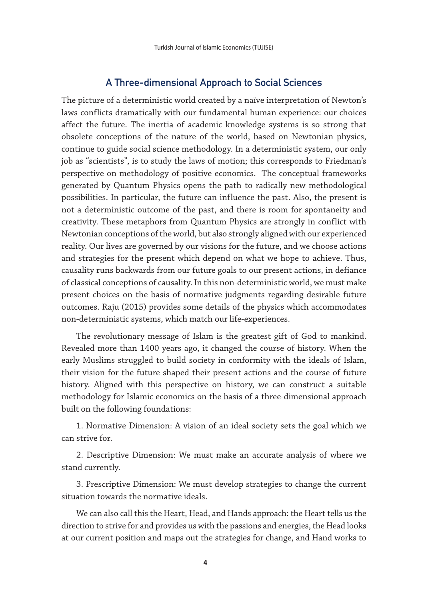# A Three-dimensional Approach to Social Sciences

The picture of a deterministic world created by a naïve interpretation of Newton's laws conflicts dramatically with our fundamental human experience: our choices affect the future. The inertia of academic knowledge systems is so strong that obsolete conceptions of the nature of the world, based on Newtonian physics, continue to guide social science methodology. In a deterministic system, our only job as "scientists", is to study the laws of motion; this corresponds to Friedman's perspective on methodology of positive economics. The conceptual frameworks generated by Quantum Physics opens the path to radically new methodological possibilities. In particular, the future can influence the past. Also, the present is not a deterministic outcome of the past, and there is room for spontaneity and creativity. These metaphors from Quantum Physics are strongly in conflict with Newtonian conceptions of the world, but also strongly aligned with our experienced reality. Our lives are governed by our visions for the future, and we choose actions and strategies for the present which depend on what we hope to achieve. Thus, causality runs backwards from our future goals to our present actions, in defiance of classical conceptions of causality. In this non-deterministic world, we must make present choices on the basis of normative judgments regarding desirable future outcomes. Raju (2015) provides some details of the physics which accommodates non-deterministic systems, which match our life-experiences.

The revolutionary message of Islam is the greatest gift of God to mankind. Revealed more than 1400 years ago, it changed the course of history. When the early Muslims struggled to build society in conformity with the ideals of Islam, their vision for the future shaped their present actions and the course of future history. Aligned with this perspective on history, we can construct a suitable methodology for Islamic economics on the basis of a three-dimensional approach built on the following foundations:

1. Normative Dimension: A vision of an ideal society sets the goal which we can strive for.

2. Descriptive Dimension: We must make an accurate analysis of where we stand currently.

3. Prescriptive Dimension: We must develop strategies to change the current situation towards the normative ideals.

We can also call this the Heart, Head, and Hands approach: the Heart tells us the direction to strive for and provides us with the passions and energies, the Head looks at our current position and maps out the strategies for change, and Hand works to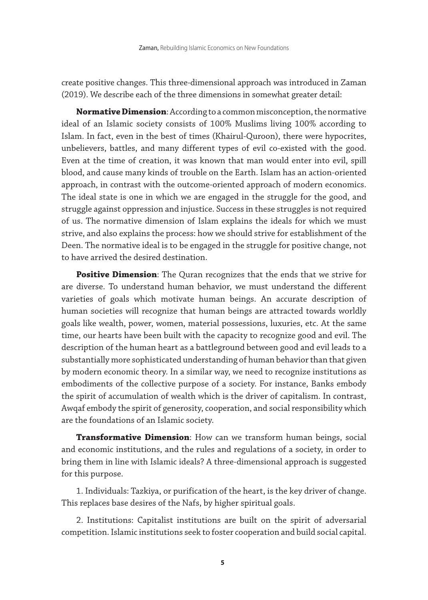create positive changes. This three-dimensional approach was introduced in Zaman (2019). We describe each of the three dimensions in somewhat greater detail:

**Normative Dimension**: According to a common misconception, the normative ideal of an Islamic society consists of 100% Muslims living 100% according to Islam. In fact, even in the best of times (Khairul-Quroon), there were hypocrites, unbelievers, battles, and many different types of evil co-existed with the good. Even at the time of creation, it was known that man would enter into evil, spill blood, and cause many kinds of trouble on the Earth. Islam has an action-oriented approach, in contrast with the outcome-oriented approach of modern economics. The ideal state is one in which we are engaged in the struggle for the good, and struggle against oppression and injustice. Success in these struggles is not required of us. The normative dimension of Islam explains the ideals for which we must strive, and also explains the process: how we should strive for establishment of the Deen. The normative ideal is to be engaged in the struggle for positive change, not to have arrived the desired destination.

**Positive Dimension**: The Quran recognizes that the ends that we strive for are diverse. To understand human behavior, we must understand the different varieties of goals which motivate human beings. An accurate description of human societies will recognize that human beings are attracted towards worldly goals like wealth, power, women, material possessions, luxuries, etc. At the same time, our hearts have been built with the capacity to recognize good and evil. The description of the human heart as a battleground between good and evil leads to a substantially more sophisticated understanding of human behavior than that given by modern economic theory. In a similar way, we need to recognize institutions as embodiments of the collective purpose of a society. For instance, Banks embody the spirit of accumulation of wealth which is the driver of capitalism. In contrast, Awqaf embody the spirit of generosity, cooperation, and social responsibility which are the foundations of an Islamic society.

**Transformative Dimension**: How can we transform human beings, social and economic institutions, and the rules and regulations of a society, in order to bring them in line with Islamic ideals? A three-dimensional approach is suggested for this purpose.

1. Individuals: Tazkiya, or purification of the heart, is the key driver of change. This replaces base desires of the Nafs, by higher spiritual goals.

2. Institutions: Capitalist institutions are built on the spirit of adversarial competition. Islamic institutions seek to foster cooperation and build social capital.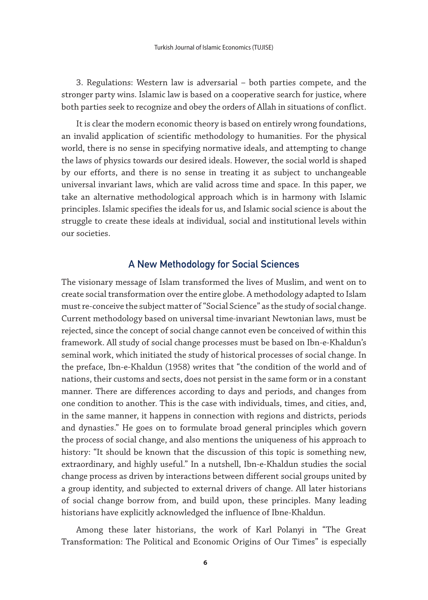3. Regulations: Western law is adversarial – both parties compete, and the stronger party wins. Islamic law is based on a cooperative search for justice, where both parties seek to recognize and obey the orders of Allah in situations of conflict.

It is clear the modern economic theory is based on entirely wrong foundations, an invalid application of scientific methodology to humanities. For the physical world, there is no sense in specifying normative ideals, and attempting to change the laws of physics towards our desired ideals. However, the social world is shaped by our efforts, and there is no sense in treating it as subject to unchangeable universal invariant laws, which are valid across time and space. In this paper, we take an alternative methodological approach which is in harmony with Islamic principles. Islamic specifies the ideals for us, and Islamic social science is about the struggle to create these ideals at individual, social and institutional levels within our societies.

# A New Methodology for Social Sciences

The visionary message of Islam transformed the lives of Muslim, and went on to create social transformation over the entire globe. A methodology adapted to Islam must re-conceive the subject matter of "Social Science" as the study of social change. Current methodology based on universal time-invariant Newtonian laws, must be rejected, since the concept of social change cannot even be conceived of within this framework. All study of social change processes must be based on Ibn-e-Khaldun's seminal work, which initiated the study of historical processes of social change. In the preface, Ibn-e-Khaldun (1958) writes that "the condition of the world and of nations, their customs and sects, does not persist in the same form or in a constant manner. There are differences according to days and periods, and changes from one condition to another. This is the case with individuals, times, and cities, and, in the same manner, it happens in connection with regions and districts, periods and dynasties." He goes on to formulate broad general principles which govern the process of social change, and also mentions the uniqueness of his approach to history: "It should be known that the discussion of this topic is something new, extraordinary, and highly useful." In a nutshell, Ibn-e-Khaldun studies the social change process as driven by interactions between different social groups united by a group identity, and subjected to external drivers of change. All later historians of social change borrow from, and build upon, these principles. Many leading historians have explicitly acknowledged the influence of Ibne-Khaldun.

Among these later historians, the work of Karl Polanyi in "The Great Transformation: The Political and Economic Origins of Our Times" is especially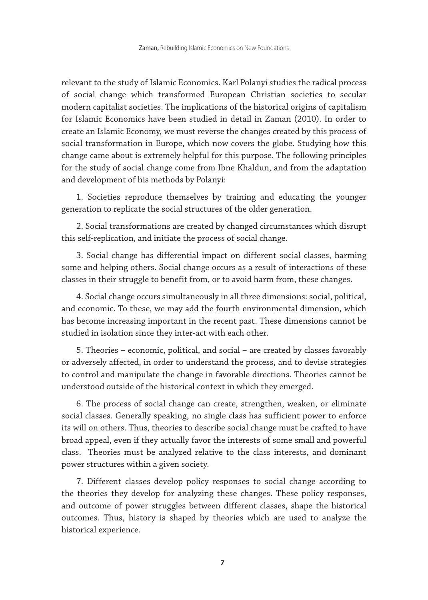relevant to the study of Islamic Economics. Karl Polanyi studies the radical process of social change which transformed European Christian societies to secular modern capitalist societies. The implications of the historical origins of capitalism for Islamic Economics have been studied in detail in Zaman (2010). In order to create an Islamic Economy, we must reverse the changes created by this process of social transformation in Europe, which now covers the globe. Studying how this change came about is extremely helpful for this purpose. The following principles for the study of social change come from Ibne Khaldun, and from the adaptation and development of his methods by Polanyi:

1. Societies reproduce themselves by training and educating the younger generation to replicate the social structures of the older generation.

2. Social transformations are created by changed circumstances which disrupt this self-replication, and initiate the process of social change.

3. Social change has differential impact on different social classes, harming some and helping others. Social change occurs as a result of interactions of these classes in their struggle to benefit from, or to avoid harm from, these changes.

4. Social change occurs simultaneously in all three dimensions: social, political, and economic. To these, we may add the fourth environmental dimension, which has become increasing important in the recent past. These dimensions cannot be studied in isolation since they inter-act with each other.

5. Theories – economic, political, and social – are created by classes favorably or adversely affected, in order to understand the process, and to devise strategies to control and manipulate the change in favorable directions. Theories cannot be understood outside of the historical context in which they emerged.

6. The process of social change can create, strengthen, weaken, or eliminate social classes. Generally speaking, no single class has sufficient power to enforce its will on others. Thus, theories to describe social change must be crafted to have broad appeal, even if they actually favor the interests of some small and powerful class. Theories must be analyzed relative to the class interests, and dominant power structures within a given society.

7. Different classes develop policy responses to social change according to the theories they develop for analyzing these changes. These policy responses, and outcome of power struggles between different classes, shape the historical outcomes. Thus, history is shaped by theories which are used to analyze the historical experience.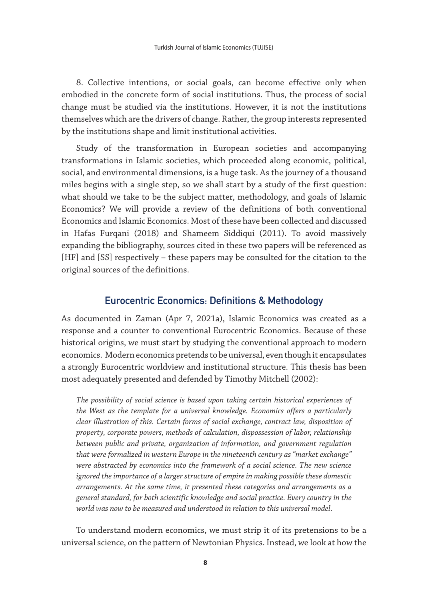8. Collective intentions, or social goals, can become effective only when embodied in the concrete form of social institutions. Thus, the process of social change must be studied via the institutions. However, it is not the institutions themselves which are the drivers of change. Rather, the group interests represented by the institutions shape and limit institutional activities.

Study of the transformation in European societies and accompanying transformations in Islamic societies, which proceeded along economic, political, social, and environmental dimensions, is a huge task. As the journey of a thousand miles begins with a single step, so we shall start by a study of the first question: what should we take to be the subject matter, methodology, and goals of Islamic Economics? We will provide a review of the definitions of both conventional Economics and Islamic Economics. Most of these have been collected and discussed in Hafas Furqani (2018) and Shameem Siddiqui (2011). To avoid massively expanding the bibliography, sources cited in these two papers will be referenced as [HF] and [SS] respectively – these papers may be consulted for the citation to the original sources of the definitions.

# Eurocentric Economics: Definitions & Methodology

As documented in Zaman (Apr 7, 2021a), Islamic Economics was created as a response and a counter to conventional Eurocentric Economics. Because of these historical origins, we must start by studying the conventional approach to modern economics. Modern economics pretends to be universal, even though it encapsulates a strongly Eurocentric worldview and institutional structure. This thesis has been most adequately presented and defended by Timothy Mitchell (2002):

*The possibility of social science is based upon taking certain historical experiences of the West as the template for a universal knowledge. Economics offers a particularly clear illustration of this. Certain forms of social exchange, contract law, disposition of property, corporate powers, methods of calculation, dispossession of labor, relationship between public and private, organization of information, and government regulation that were formalized in western Europe in the nineteenth century as "market exchange" were abstracted by economics into the framework of a social science. The new science ignored the importance of a larger structure of empire in making possible these domestic arrangements. At the same time, it presented these categories and arrangements as a general standard, for both scientific knowledge and social practice. Every country in the world was now to be measured and understood in relation to this universal model*.

To understand modern economics, we must strip it of its pretensions to be a universal science, on the pattern of Newtonian Physics. Instead, we look at how the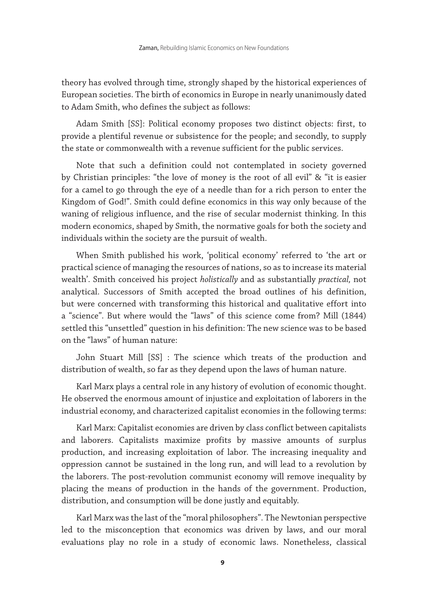theory has evolved through time, strongly shaped by the historical experiences of European societies. The birth of economics in Europe in nearly unanimously dated to Adam Smith, who defines the subject as follows:

Adam Smith [SS]: Political economy proposes two distinct objects: first, to provide a plentiful revenue or subsistence for the people; and secondly, to supply the state or commonwealth with a revenue sufficient for the public services.

Note that such a definition could not contemplated in society governed by Christian principles: "the love of money is the root of all evil" & "it is easier for a camel to go through the eye of a needle than for a rich person to enter the Kingdom of God!". Smith could define economics in this way only because of the waning of religious influence, and the rise of secular modernist thinking. In this modern economics, shaped by Smith, the normative goals for both the society and individuals within the society are the pursuit of wealth.

When Smith published his work, 'political economy' referred to 'the art or practical science of managing the resources of nations, so as to increase its material wealth'. Smith conceived his project *holistically* and as substantially *practical,* not analytical. Successors of Smith accepted the broad outlines of his definition, but were concerned with transforming this historical and qualitative effort into a "science". But where would the "laws" of this science come from? Mill (1844) settled this "unsettled" question in his definition: The new science was to be based on the "laws" of human nature:

John Stuart Mill [SS] : The science which treats of the production and distribution of wealth, so far as they depend upon the laws of human nature.

Karl Marx plays a central role in any history of evolution of economic thought. He observed the enormous amount of injustice and exploitation of laborers in the industrial economy, and characterized capitalist economies in the following terms:

Karl Marx: Capitalist economies are driven by class conflict between capitalists and laborers. Capitalists maximize profits by massive amounts of surplus production, and increasing exploitation of labor. The increasing inequality and oppression cannot be sustained in the long run, and will lead to a revolution by the laborers. The post-revolution communist economy will remove inequality by placing the means of production in the hands of the government. Production, distribution, and consumption will be done justly and equitably.

Karl Marx was the last of the "moral philosophers". The Newtonian perspective led to the misconception that economics was driven by laws, and our moral evaluations play no role in a study of economic laws. Nonetheless, classical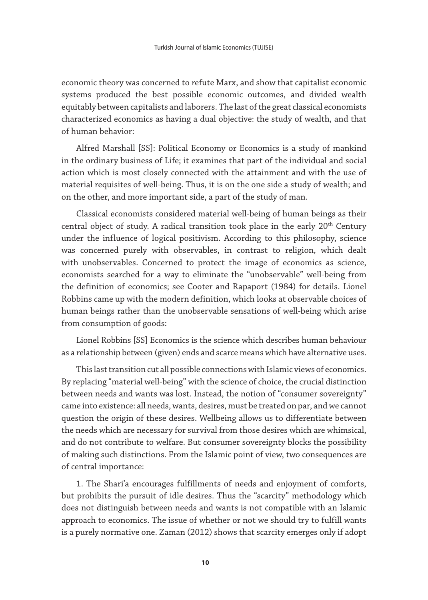economic theory was concerned to refute Marx, and show that capitalist economic systems produced the best possible economic outcomes, and divided wealth equitably between capitalists and laborers. The last of the great classical economists characterized economics as having a dual objective: the study of wealth, and that of human behavior:

Alfred Marshall [SS]: Political Economy or Economics is a study of mankind in the ordinary business of Life; it examines that part of the individual and social action which is most closely connected with the attainment and with the use of material requisites of well-being. Thus, it is on the one side a study of wealth; and on the other, and more important side, a part of the study of man.

Classical economists considered material well-being of human beings as their central object of study. A radical transition took place in the early 20th Century under the influence of logical positivism. According to this philosophy, science was concerned purely with observables, in contrast to religion, which dealt with unobservables. Concerned to protect the image of economics as science, economists searched for a way to eliminate the "unobservable" well-being from the definition of economics; see Cooter and Rapaport (1984) for details. Lionel Robbins came up with the modern definition, which looks at observable choices of human beings rather than the unobservable sensations of well-being which arise from consumption of goods:

Lionel Robbins [SS] Economics is the science which describes human behaviour as a relationship between (given) ends and scarce means which have alternative uses.

This last transition cut all possible connections with Islamic views of economics. By replacing "material well-being" with the science of choice, the crucial distinction between needs and wants was lost. Instead, the notion of "consumer sovereignty" came into existence: all needs, wants, desires, must be treated on par, and we cannot question the origin of these desires. Wellbeing allows us to differentiate between the needs which are necessary for survival from those desires which are whimsical, and do not contribute to welfare. But consumer sovereignty blocks the possibility of making such distinctions. From the Islamic point of view, two consequences are of central importance:

1. The Shari'a encourages fulfillments of needs and enjoyment of comforts, but prohibits the pursuit of idle desires. Thus the "scarcity" methodology which does not distinguish between needs and wants is not compatible with an Islamic approach to economics. The issue of whether or not we should try to fulfill wants is a purely normative one. Zaman (2012) shows that scarcity emerges only if adopt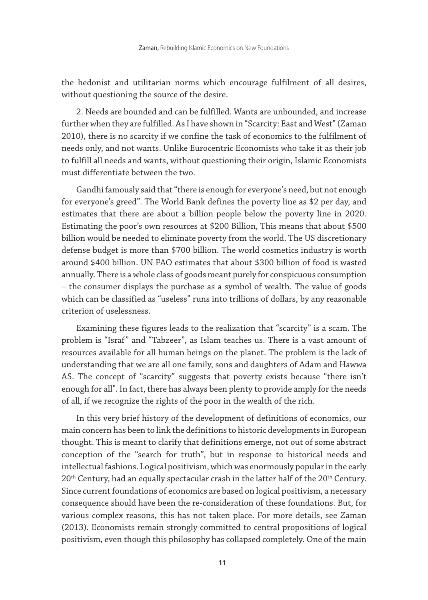the hedonist and utilitarian norms which encourage fulfilment of all desires, without questioning the source of the desire.

2. Needs are bounded and can be fulfilled. Wants are unbounded, and increase further when they are fulfilled. As I have shown in "Scarcity: East and West" (Zaman 2010), there is no scarcity if we confine the task of economics to the fulfilment of needs only, and not wants. Unlike Eurocentric Economists who take it as their job to fulfill all needs and wants, without questioning their origin, Islamic Economists must differentiate between the two.

Gandhi famously said that "there is enough for everyone's need, but not enough for everyone's greed". The World Bank defines the poverty line as \$2 per day, and estimates that there are about a billion people below the poverty line in 2020. Estimating the poor's own resources at \$200 Billion, This means that about \$500 billion would be needed to eliminate poverty from the world. The US discretionary defense budget is more than \$700 billion. The world cosmetics industry is worth around \$400 billion. UN FAO estimates that about \$300 billion of food is wasted annually. There is a whole class of goods meant purely for conspicuous consumption – the consumer displays the purchase as a symbol of wealth. The value of goods which can be classified as "useless" runs into trillions of dollars, by any reasonable criterion of uselessness.

Examining these figures leads to the realization that "scarcity" is a scam. The problem is "Israf" and "Tabzeer", as Islam teaches us. There is a vast amount of resources available for all human beings on the planet. The problem is the lack of understanding that we are all one family, sons and daughters of Adam and Hawwa AS. The concept of "scarcity" suggests that poverty exists because "there isn't enough for all". In fact, there has always been plenty to provide amply for the needs of all, if we recognize the rights of the poor in the wealth of the rich.

In this very brief history of the development of definitions of economics, our main concern has been to link the definitions to historic developments in European thought. This is meant to clarify that definitions emerge, not out of some abstract conception of the "search for truth", but in response to historical needs and intellectual fashions. Logical positivism, which was enormously popular in the early 20<sup>th</sup> Century, had an equally spectacular crash in the latter half of the 20<sup>th</sup> Century. Since current foundations of economics are based on logical positivism, a necessary consequence should have been the re-consideration of these foundations. But, for various complex reasons, this has not taken place. For more details, see Zaman (2013). Economists remain strongly committed to central propositions of logical positivism, even though this philosophy has collapsed completely. One of the main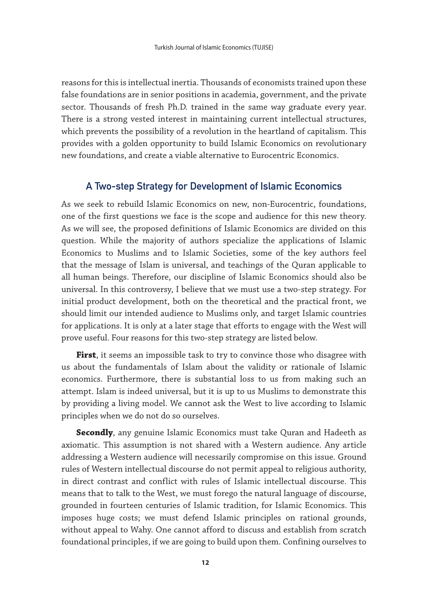reasons for this is intellectual inertia. Thousands of economists trained upon these false foundations are in senior positions in academia, government, and the private sector. Thousands of fresh Ph.D. trained in the same way graduate every year. There is a strong vested interest in maintaining current intellectual structures, which prevents the possibility of a revolution in the heartland of capitalism. This provides with a golden opportunity to build Islamic Economics on revolutionary new foundations, and create a viable alternative to Eurocentric Economics.

# A Two-step Strategy for Development of Islamic Economics

As we seek to rebuild Islamic Economics on new, non-Eurocentric, foundations, one of the first questions we face is the scope and audience for this new theory. As we will see, the proposed definitions of Islamic Economics are divided on this question. While the majority of authors specialize the applications of Islamic Economics to Muslims and to Islamic Societies, some of the key authors feel that the message of Islam is universal, and teachings of the Quran applicable to all human beings. Therefore, our discipline of Islamic Economics should also be universal. In this controversy, I believe that we must use a two-step strategy. For initial product development, both on the theoretical and the practical front, we should limit our intended audience to Muslims only, and target Islamic countries for applications. It is only at a later stage that efforts to engage with the West will prove useful. Four reasons for this two-step strategy are listed below.

**First**, it seems an impossible task to try to convince those who disagree with us about the fundamentals of Islam about the validity or rationale of Islamic economics. Furthermore, there is substantial loss to us from making such an attempt. Islam is indeed universal, but it is up to us Muslims to demonstrate this by providing a living model. We cannot ask the West to live according to Islamic principles when we do not do so ourselves.

**Secondly**, any genuine Islamic Economics must take Quran and Hadeeth as axiomatic. This assumption is not shared with a Western audience. Any article addressing a Western audience will necessarily compromise on this issue. Ground rules of Western intellectual discourse do not permit appeal to religious authority, in direct contrast and conflict with rules of Islamic intellectual discourse. This means that to talk to the West, we must forego the natural language of discourse, grounded in fourteen centuries of Islamic tradition, for Islamic Economics. This imposes huge costs; we must defend Islamic principles on rational grounds, without appeal to Wahy. One cannot afford to discuss and establish from scratch foundational principles, if we are going to build upon them. Confining ourselves to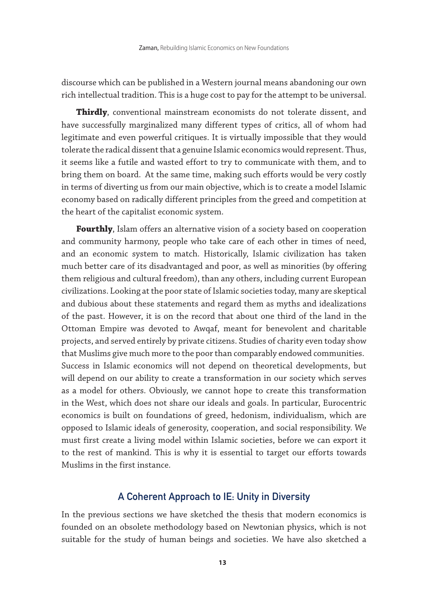discourse which can be published in a Western journal means abandoning our own rich intellectual tradition. This is a huge cost to pay for the attempt to be universal.

**Thirdly**, conventional mainstream economists do not tolerate dissent, and have successfully marginalized many different types of critics, all of whom had legitimate and even powerful critiques. It is virtually impossible that they would tolerate the radical dissent that a genuine Islamic economics would represent. Thus, it seems like a futile and wasted effort to try to communicate with them, and to bring them on board. At the same time, making such efforts would be very costly in terms of diverting us from our main objective, which is to create a model Islamic economy based on radically different principles from the greed and competition at the heart of the capitalist economic system.

**Fourthly**, Islam offers an alternative vision of a society based on cooperation and community harmony, people who take care of each other in times of need, and an economic system to match. Historically, Islamic civilization has taken much better care of its disadvantaged and poor, as well as minorities (by offering them religious and cultural freedom), than any others, including current European civilizations. Looking at the poor state of Islamic societies today, many are skeptical and dubious about these statements and regard them as myths and idealizations of the past. However, it is on the record that about one third of the land in the Ottoman Empire was devoted to Awqaf, meant for benevolent and charitable projects, and served entirely by private citizens. Studies of charity even today show that Muslims give much more to the poor than comparably endowed communities. Success in Islamic economics will not depend on theoretical developments, but will depend on our ability to create a transformation in our society which serves as a model for others. Obviously, we cannot hope to create this transformation in the West, which does not share our ideals and goals. In particular, Eurocentric economics is built on foundations of greed, hedonism, individualism, which are opposed to Islamic ideals of generosity, cooperation, and social responsibility. We must first create a living model within Islamic societies, before we can export it to the rest of mankind. This is why it is essential to target our efforts towards Muslims in the first instance.

### A Coherent Approach to IE: Unity in Diversity

In the previous sections we have sketched the thesis that modern economics is founded on an obsolete methodology based on Newtonian physics, which is not suitable for the study of human beings and societies. We have also sketched a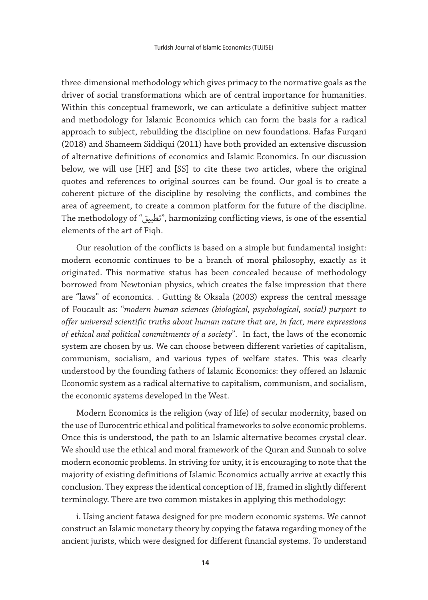three-dimensional methodology which gives primacy to the normative goals as the driver of social transformations which are of central importance for humanities. Within this conceptual framework, we can articulate a definitive subject matter and methodology for Islamic Economics which can form the basis for a radical approach to subject, rebuilding the discipline on new foundations. Hafas Furqani (2018) and Shameem Siddiqui (2011) have both provided an extensive discussion of alternative definitions of economics and Islamic Economics. In our discussion below, we will use [HF] and [SS] to cite these two articles, where the original quotes and references to original sources can be found. Our goal is to create a coherent picture of the discipline by resolving the conflicts, and combines the area of agreement, to create a common platform for the future of the discipline. The methodology of "تطبيق", harmonizing conflicting views, is one of the essential elements of the art of Fiqh.

Our resolution of the conflicts is based on a simple but fundamental insight: modern economic continues to be a branch of moral philosophy, exactly as it originated. This normative status has been concealed because of methodology borrowed from Newtonian physics, which creates the false impression that there are "laws" of economics. . Gutting & Oksala (2003) express the central message of Foucault as: "*modern human sciences (biological, psychological, social) purport to offer universal scientific truths about human nature that are, in fact, mere expressions of ethical and political commitments of a society*". In fact, the laws of the economic system are chosen by us. We can choose between different varieties of capitalism, communism, socialism, and various types of welfare states. This was clearly understood by the founding fathers of Islamic Economics: they offered an Islamic Economic system as a radical alternative to capitalism, communism, and socialism, the economic systems developed in the West.

Modern Economics is the religion (way of life) of secular modernity, based on the use of Eurocentric ethical and political frameworks to solve economic problems. Once this is understood, the path to an Islamic alternative becomes crystal clear. We should use the ethical and moral framework of the Quran and Sunnah to solve modern economic problems. In striving for unity, it is encouraging to note that the majority of existing definitions of Islamic Economics actually arrive at exactly this conclusion. They express the identical conception of IE, framed in slightly different terminology. There are two common mistakes in applying this methodology:

i. Using ancient fatawa designed for pre-modern economic systems. We cannot construct an Islamic monetary theory by copying the fatawa regarding money of the ancient jurists, which were designed for different financial systems. To understand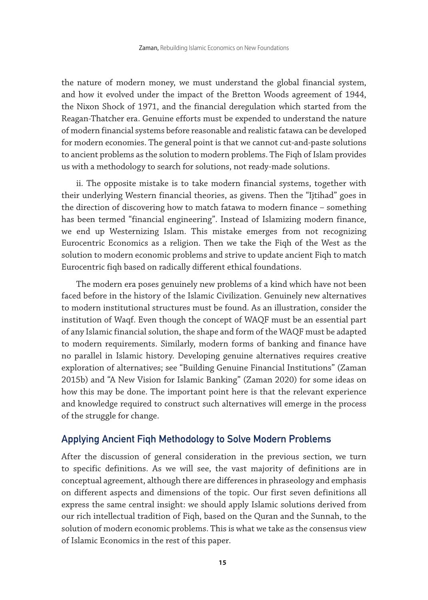the nature of modern money, we must understand the global financial system, and how it evolved under the impact of the Bretton Woods agreement of 1944, the Nixon Shock of 1971, and the financial deregulation which started from the Reagan-Thatcher era. Genuine efforts must be expended to understand the nature of modern financial systems before reasonable and realistic fatawa can be developed for modern economies. The general point is that we cannot cut-and-paste solutions to ancient problems as the solution to modern problems. The Fiqh of Islam provides us with a methodology to search for solutions, not ready-made solutions.

ii. The opposite mistake is to take modern financial systems, together with their underlying Western financial theories, as givens. Then the "Ijtihad" goes in the direction of discovering how to match fatawa to modern finance – something has been termed "financial engineering". Instead of Islamizing modern finance, we end up Westernizing Islam. This mistake emerges from not recognizing Eurocentric Economics as a religion. Then we take the Fiqh of the West as the solution to modern economic problems and strive to update ancient Fiqh to match Eurocentric fiqh based on radically different ethical foundations.

The modern era poses genuinely new problems of a kind which have not been faced before in the history of the Islamic Civilization. Genuinely new alternatives to modern institutional structures must be found. As an illustration, consider the institution of Waqf. Even though the concept of WAQF must be an essential part of any Islamic financial solution, the shape and form of the WAQF must be adapted to modern requirements. Similarly, modern forms of banking and finance have no parallel in Islamic history. Developing genuine alternatives requires creative exploration of alternatives; see "Building Genuine Financial Institutions" (Zaman 2015b) and "A New Vision for Islamic Banking" (Zaman 2020) for some ideas on how this may be done. The important point here is that the relevant experience and knowledge required to construct such alternatives will emerge in the process of the struggle for change.

## Applying Ancient Fiqh Methodology to Solve Modern Problems

After the discussion of general consideration in the previous section, we turn to specific definitions. As we will see, the vast majority of definitions are in conceptual agreement, although there are differences in phraseology and emphasis on different aspects and dimensions of the topic. Our first seven definitions all express the same central insight: we should apply Islamic solutions derived from our rich intellectual tradition of Fiqh, based on the Quran and the Sunnah, to the solution of modern economic problems. This is what we take as the consensus view of Islamic Economics in the rest of this paper.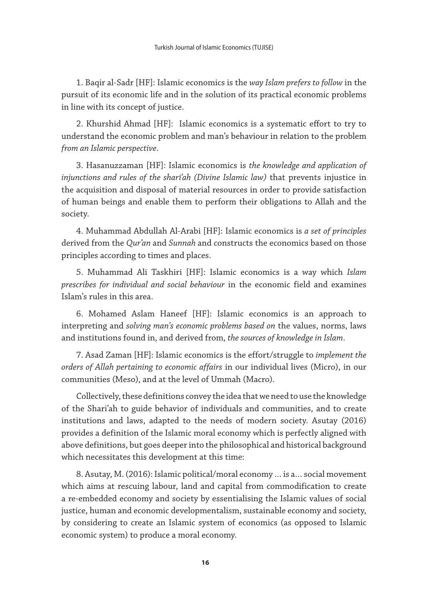1. Baqir al-Sadr [HF]: Islamic economics is the *way Islam prefers to follow* in the pursuit of its economic life and in the solution of its practical economic problems in line with its concept of justice.

2. Khurshid Ahmad [HF]: Islamic economics is a systematic effort to try to understand the economic problem and man's behaviour in relation to the problem *from an Islamic perspective*.

3. Hasanuzzaman [HF]: Islamic economics is *the knowledge and application of injunctions and rules of the sharī'ah (Divine Islamic law)* that prevents injustice in the acquisition and disposal of material resources in order to provide satisfaction of human beings and enable them to perform their obligations to Allah and the society.

4. Muhammad Abdullah Al-Arabi [HF]: Islamic economics is *a set of principles*  derived from the *Qur'an* and *Sunnah* and constructs the economics based on those principles according to times and places.

5. Muhammad Ali Taskhiri [HF]: Islamic economics is a way which *Islam prescribes for individual and social behaviour* in the economic field and examines Islam's rules in this area.

6. Mohamed Aslam Haneef [HF]: Islamic economics is an approach to interpreting and *solving man's economic problems based on* the values, norms, laws and institutions found in, and derived from, *the sources of knowledge in Islam*.

7. Asad Zaman [HF]: Islamic economics is the effort/struggle to *implement the orders of Allah pertaining to economic affairs* in our individual lives (Micro), in our communities (Meso), and at the level of Ummah (Macro).

Collectively, these definitions convey the idea that we need to use the knowledge of the Shari'ah to guide behavior of individuals and communities, and to create institutions and laws, adapted to the needs of modern society. Asutay (2016) provides a definition of the Islamic moral economy which is perfectly aligned with above definitions, but goes deeper into the philosophical and historical background which necessitates this development at this time:

8. Asutay, M. (2016): Islamic political/moral economy … is a… social movement which aims at rescuing labour, land and capital from commodification to create a re-embedded economy and society by essentialising the Islamic values of social justice, human and economic developmentalism, sustainable economy and society, by considering to create an Islamic system of economics (as opposed to Islamic economic system) to produce a moral economy.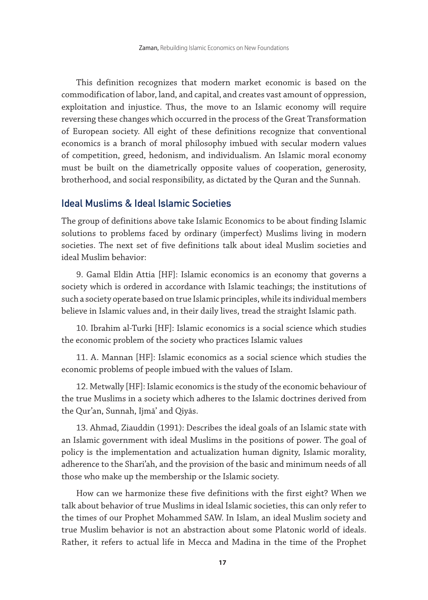This definition recognizes that modern market economic is based on the commodification of labor, land, and capital, and creates vast amount of oppression, exploitation and injustice. Thus, the move to an Islamic economy will require reversing these changes which occurred in the process of the Great Transformation of European society. All eight of these definitions recognize that conventional economics is a branch of moral philosophy imbued with secular modern values of competition, greed, hedonism, and individualism. An Islamic moral economy must be built on the diametrically opposite values of cooperation, generosity, brotherhood, and social responsibility, as dictated by the Quran and the Sunnah.

# Ideal Muslims & Ideal Islamic Societies

The group of definitions above take Islamic Economics to be about finding Islamic solutions to problems faced by ordinary (imperfect) Muslims living in modern societies. The next set of five definitions talk about ideal Muslim societies and ideal Muslim behavior:

9. Gamal Eldin Attia [HF]: Islamic economics is an economy that governs a society which is ordered in accordance with Islamic teachings; the institutions of such a society operate based on true Islamic principles, while its individual members believe in Islamic values and, in their daily lives, tread the straight Islamic path.

10. Ibrahim al-Turki [HF]: Islamic economics is a social science which studies the economic problem of the society who practices Islamic values

11. A. Mannan [HF]: Islamic economics as a social science which studies the economic problems of people imbued with the values of Islam.

12. Metwally [HF]: Islamic economics is the study of the economic behaviour of the true Muslims in a society which adheres to the Islamic doctrines derived from the Qur'an, Sunnah, Ijmā' and Qiyās.

13. Ahmad, Ziauddin (1991): Describes the ideal goals of an Islamic state with an Islamic government with ideal Muslims in the positions of power. The goal of policy is the implementation and actualization human dignity, Islamic morality, adherence to the Shari'ah, and the provision of the basic and minimum needs of all those who make up the membership or the Islamic society.

How can we harmonize these five definitions with the first eight? When we talk about behavior of true Muslims in ideal Islamic societies, this can only refer to the times of our Prophet Mohammed SAW. In Islam, an ideal Muslim society and true Muslim behavior is not an abstraction about some Platonic world of ideals. Rather, it refers to actual life in Mecca and Madina in the time of the Prophet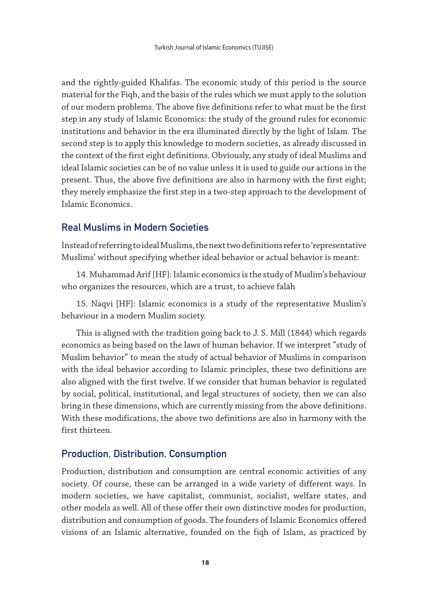and the rightly-guided Khalifas. The economic study of this period is the source material for the Fiqh, and the basis of the rules which we must apply to the solution of our modern problems. The above five definitions refer to what must be the first step in any study of Islamic Economics: the study of the ground rules for economic institutions and behavior in the era illuminated directly by the light of Islam. The second step is to apply this knowledge to modern societies, as already discussed in the context of the first eight definitions. Obviously, any study of ideal Muslims and ideal Islamic societies can be of no value unless it is used to guide our actions in the present. Thus, the above five definitions are also in harmony with the first eight; they merely emphasize the first step in a two-step approach to the development of Islamic Economics.

# Real Muslims in Modern Societies

Instead of referring to ideal Muslims, the next two definitions refer to 'representative Muslims' without specifying whether ideal behavior or actual behavior is meant:

14. Muhammad Arif [HF]: Islamic economics is the study of Muslim's behaviour who organizes the resources, which are a trust, to achieve falāh

15. Naqvi [HF]: Islamic economics is a study of the representative Muslim's behaviour in a modern Muslim society.

This is aligned with the tradition going back to J. S. Mill (1844) which regards economics as being based on the laws of human behavior. If we interpret "study of Muslim behavior" to mean the study of actual behavior of Muslims in comparison with the ideal behavior according to Islamic principles, these two definitions are also aligned with the first twelve. If we consider that human behavior is regulated by social, political, institutional, and legal structures of society, then we can also bring in these dimensions, which are currently missing from the above definitions. With these modifications, the above two definitions are also in harmony with the first thirteen.

# Production, Distribution, Consumption

Production, distribution and consumption are central economic activities of any society. Of course, these can be arranged in a wide variety of different ways. In modern societies, we have capitalist, communist, socialist, welfare states, and other models as well. All of these offer their own distinctive modes for production, distribution and consumption of goods. The founders of Islamic Economics offered visions of an Islamic alternative, founded on the fiqh of Islam, as practiced by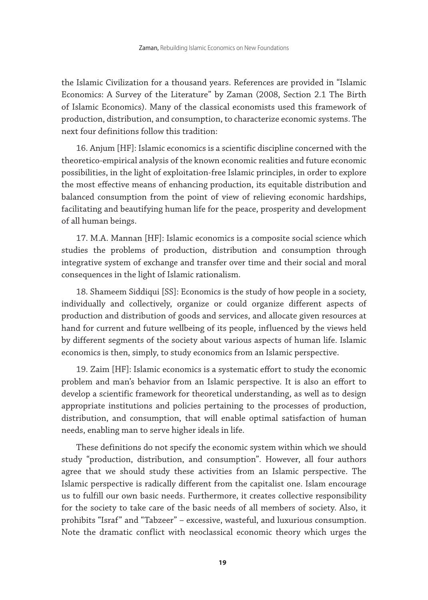the Islamic Civilization for a thousand years. References are provided in "Islamic Economics: A Survey of the Literature" by Zaman (2008, Section 2.1 The Birth of Islamic Economics). Many of the classical economists used this framework of production, distribution, and consumption, to characterize economic systems. The next four definitions follow this tradition:

16. Anjum [HF]: Islamic economics is a scientific discipline concerned with the theoretico-empirical analysis of the known economic realities and future economic possibilities, in the light of exploitation-free Islamic principles, in order to explore the most effective means of enhancing production, its equitable distribution and balanced consumption from the point of view of relieving economic hardships, facilitating and beautifying human life for the peace, prosperity and development of all human beings.

17. M.A. Mannan [HF]: Islamic economics is a composite social science which studies the problems of production, distribution and consumption through integrative system of exchange and transfer over time and their social and moral consequences in the light of Islamic rationalism.

18. Shameem Siddiqui [SS]: Economics is the study of how people in a society, individually and collectively, organize or could organize different aspects of production and distribution of goods and services, and allocate given resources at hand for current and future wellbeing of its people, influenced by the views held by different segments of the society about various aspects of human life. Islamic economics is then, simply, to study economics from an Islamic perspective.

19. Zaim [HF]: Islamic economics is a systematic effort to study the economic problem and man's behavior from an Islamic perspective. It is also an effort to develop a scientific framework for theoretical understanding, as well as to design appropriate institutions and policies pertaining to the processes of production, distribution, and consumption, that will enable optimal satisfaction of human needs, enabling man to serve higher ideals in life.

These definitions do not specify the economic system within which we should study "production, distribution, and consumption". However, all four authors agree that we should study these activities from an Islamic perspective. The Islamic perspective is radically different from the capitalist one. Islam encourage us to fulfill our own basic needs. Furthermore, it creates collective responsibility for the society to take care of the basic needs of all members of society. Also, it prohibits "Israf" and "Tabzeer" – excessive, wasteful, and luxurious consumption. Note the dramatic conflict with neoclassical economic theory which urges the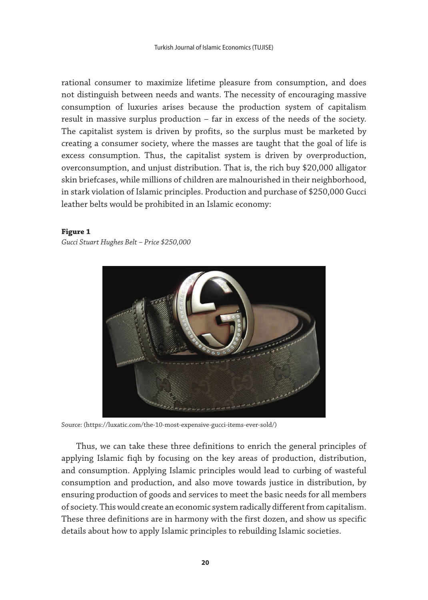rational consumer to maximize lifetime pleasure from consumption, and does not distinguish between needs and wants. The necessity of encouraging massive consumption of luxuries arises because the production system of capitalism result in massive surplus production – far in excess of the needs of the society. The capitalist system is driven by profits, so the surplus must be marketed by creating a consumer society, where the masses are taught that the goal of life is excess consumption. Thus, the capitalist system is driven by overproduction, overconsumption, and unjust distribution. That is, the rich buy \$20,000 alligator skin briefcases, while millions of children are malnourished in their neighborhood, in stark violation of Islamic principles. Production and purchase of \$250,000 Gucci leather belts would be prohibited in an Islamic economy:

#### **Figure 1**

*Gucci Stuart Hughes Belt – Price \$250,000*



Source: (https://luxatic.com/the-10-most-expensive-gucci-items-ever-sold/)

Thus, we can take these three definitions to enrich the general principles of applying Islamic fiqh by focusing on the key areas of production, distribution, and consumption. Applying Islamic principles would lead to curbing of wasteful consumption and production, and also move towards justice in distribution, by ensuring production of goods and services to meet the basic needs for all members of society. This would create an economic system radically different from capitalism. These three definitions are in harmony with the first dozen, and show us specific details about how to apply Islamic principles to rebuilding Islamic societies.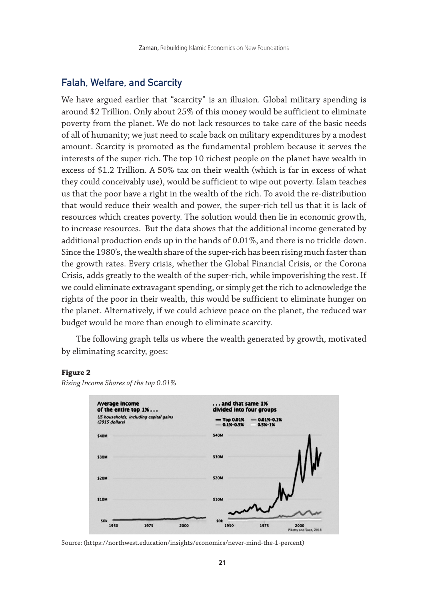# Falah, Welfare, and Scarcity

We have argued earlier that "scarcity" is an illusion. Global military spending is around \$2 Trillion. Only about 25% of this money would be sufficient to eliminate poverty from the planet. We do not lack resources to take care of the basic needs of all of humanity; we just need to scale back on military expenditures by a modest amount. Scarcity is promoted as the fundamental problem because it serves the interests of the super-rich. The top 10 richest people on the planet have wealth in excess of \$1.2 Trillion. A 50% tax on their wealth (which is far in excess of what they could conceivably use), would be sufficient to wipe out poverty. Islam teaches us that the poor have a right in the wealth of the rich. To avoid the re-distribution that would reduce their wealth and power, the super-rich tell us that it is lack of resources which creates poverty. The solution would then lie in economic growth, to increase resources. But the data shows that the additional income generated by additional production ends up in the hands of 0.01%, and there is no trickle-down. Since the 1980's, the wealth share of the super-rich has been rising much faster than the growth rates. Every crisis, whether the Global Financial Crisis, or the Corona Crisis, adds greatly to the wealth of the super-rich, while impoverishing the rest. If we could eliminate extravagant spending, or simply get the rich to acknowledge the rights of the poor in their wealth, this would be sufficient to eliminate hunger on the planet. Alternatively, if we could achieve peace on the planet, the reduced war budget would be more than enough to eliminate scarcity.

The following graph tells us where the wealth generated by growth, motivated by eliminating scarcity, goes:

#### **Figure 2**



*Rising Income Shares of the top 0.01%*

Source: (https://northwest.education/insights/economics/never-mind-the-1-percent)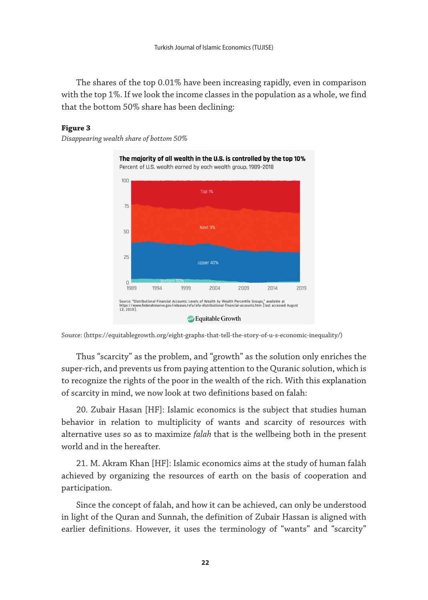The shares of the top 0.01% have been increasing rapidly, even in comparison with the top 1%. If we look the income classes in the population as a whole, we find that the bottom 50% share has been declining:

#### **Figure 3**

*Disappearing wealth share of bottom 50%*



Source: (https://equitablegrowth.org/eight-graphs-that-tell-the-story-of-u-s-economic-inequality/)

Thus "scarcity" as the problem, and "growth" as the solution only enriches the super-rich, and prevents us from paying attention to the Quranic solution, which is to recognize the rights of the poor in the wealth of the rich. With this explanation of scarcity in mind, we now look at two definitions based on falah:

20. Zubair Hasan [HF]: Islamic economics is the subject that studies human behavior in relation to multiplicity of wants and scarcity of resources with alternative uses so as to maximize *falah* that is the wellbeing both in the present world and in the hereafter.

21. M. Akram Khan [HF]: Islamic economics aims at the study of human falāh achieved by organizing the resources of earth on the basis of cooperation and participation.

Since the concept of falah, and how it can be achieved, can only be understood in light of the Quran and Sunnah, the definition of Zubair Hassan is aligned with earlier definitions. However, it uses the terminology of "wants" and "scarcity"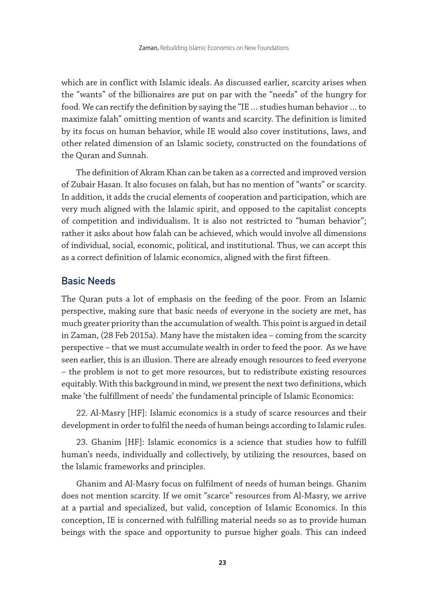which are in conflict with Islamic ideals. As discussed earlier, scarcity arises when the "wants" of the billionaires are put on par with the "needs" of the hungry for food. We can rectify the definition by saying the "IE … studies human behavior … to maximize falah" omitting mention of wants and scarcity. The definition is limited by its focus on human behavior, while IE would also cover institutions, laws, and other related dimension of an Islamic society, constructed on the foundations of the Quran and Sunnah.

The definition of Akram Khan can be taken as a corrected and improved version of Zubair Hasan. It also focuses on falah, but has no mention of "wants" or scarcity. In addition, it adds the crucial elements of cooperation and participation, which are very much aligned with the Islamic spirit, and opposed to the capitalist concepts of competition and individualism. It is also not restricted to "human behavior"; rather it asks about how falah can be achieved, which would involve all dimensions of individual, social, economic, political, and institutional. Thus, we can accept this as a correct definition of Islamic economics, aligned with the first fifteen.

# Basic Needs

The Quran puts a lot of emphasis on the feeding of the poor. From an Islamic perspective, making sure that basic needs of everyone in the society are met, has much greater priority than the accumulation of wealth. This point is argued in detail in Zaman, (28 Feb 2015a). Many have the mistaken idea – coming from the scarcity perspective – that we must accumulate wealth in order to feed the poor. As we have seen earlier, this is an illusion. There are already enough resources to feed everyone – the problem is not to get more resources, but to redistribute existing resources equitably. With this background in mind, we present the next two definitions, which make 'the fulfillment of needs' the fundamental principle of Islamic Economics:

22. Al-Masry [HF]: Islamic economics is a study of scarce resources and their development in order to fulfil the needs of human beings according to Islamic rules.

23. Ghanim [HF]: Islamic economics is a science that studies how to fulfill human's needs, individually and collectively, by utilizing the resources, based on the Islamic frameworks and principles.

Ghanim and Al-Masry focus on fulfilment of needs of human beings. Ghanim does not mention scarcity. If we omit "scarce" resources from Al-Masry, we arrive at a partial and specialized, but valid, conception of Islamic Economics. In this conception, IE is concerned with fulfilling material needs so as to provide human beings with the space and opportunity to pursue higher goals. This can indeed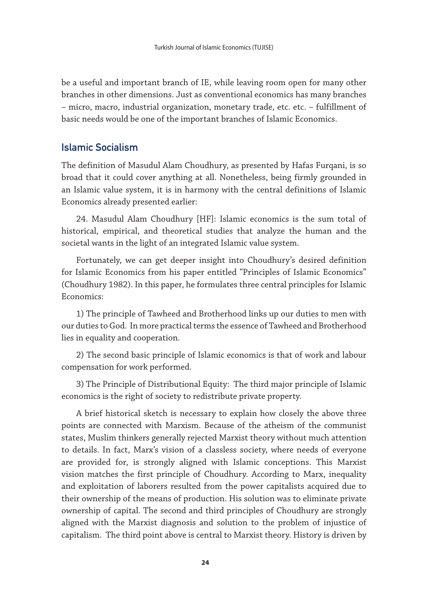be a useful and important branch of IE, while leaving room open for many other branches in other dimensions. Just as conventional economics has many branches – micro, macro, industrial organization, monetary trade, etc. etc. – fulfillment of basic needs would be one of the important branches of Islamic Economics.

# Islamic Socialism

The definition of Masudul Alam Choudhury, as presented by Hafas Furqani, is so broad that it could cover anything at all. Nonetheless, being firmly grounded in an Islamic value system, it is in harmony with the central definitions of Islamic Economics already presented earlier:

24. Masudul Alam Choudhury [HF]: Islamic economics is the sum total of historical, empirical, and theoretical studies that analyze the human and the societal wants in the light of an integrated Islamic value system.

Fortunately, we can get deeper insight into Choudhury's desired definition for Islamic Economics from his paper entitled "Principles of Islamic Economics" (Choudhury 1982). In this paper, he formulates three central principles for Islamic Economics:

1) The principle of Tawheed and Brotherhood links up our duties to men with our duties to God. In more practical terms the essence of Tawheed and Brotherhood lies in equality and cooperation.

2) The second basic principle of Islamic economics is that of work and labour compensation for work performed.

3) The Principle of Distributional Equity: The third major principle of Islamic economics is the right of society to redistribute private property.

A brief historical sketch is necessary to explain how closely the above three points are connected with Marxism. Because of the atheism of the communist states, Muslim thinkers generally rejected Marxist theory without much attention to details. In fact, Marx's vision of a classless society, where needs of everyone are provided for, is strongly aligned with Islamic conceptions. This Marxist vision matches the first principle of Choudhury. According to Marx, inequality and exploitation of laborers resulted from the power capitalists acquired due to their ownership of the means of production. His solution was to eliminate private ownership of capital. The second and third principles of Choudhury are strongly aligned with the Marxist diagnosis and solution to the problem of injustice of capitalism. The third point above is central to Marxist theory. History is driven by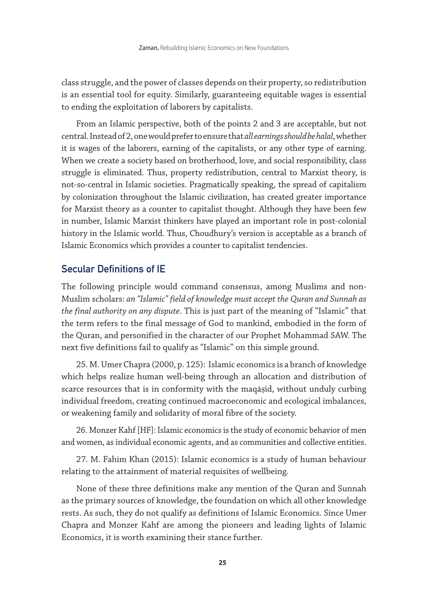class struggle, and the power of classes depends on their property, so redistribution is an essential tool for equity. Similarly, guaranteeing equitable wages is essential to ending the exploitation of laborers by capitalists.

From an Islamic perspective, both of the points 2 and 3 are acceptable, but not central. Instead of 2, one would prefer to ensure that *all earnings should be halal*, whether it is wages of the laborers, earning of the capitalists, or any other type of earning. When we create a society based on brotherhood, love, and social responsibility, class struggle is eliminated. Thus, property redistribution, central to Marxist theory, is not-so-central in Islamic societies. Pragmatically speaking, the spread of capitalism by colonization throughout the Islamic civilization, has created greater importance for Marxist theory as a counter to capitalist thought. Although they have been few in number, Islamic Marxist thinkers have played an important role in post-colonial history in the Islamic world. Thus, Choudhury's version is acceptable as a branch of Islamic Economics which provides a counter to capitalist tendencies.

# Secular Definitions of IE

The following principle would command consensus, among Muslims and non-Muslim scholars: *an "Islamic" field of knowledge must accept the Quran and Sunnah as the final authority on any dispute*. This is just part of the meaning of "Islamic" that the term refers to the final message of God to mankind, embodied in the form of the Quran, and personified in the character of our Prophet Mohammad SAW. The next five definitions fail to qualify as "Islamic" on this simple ground.

25. M. Umer Chapra (2000, p. 125): Islamic economics is a branch of knowledge which helps realize human well-being through an allocation and distribution of scarce resources that is in conformity with the maqāṣid, without unduly curbing individual freedom, creating continued macroeconomic and ecological imbalances, or weakening family and solidarity of moral fibre of the society.

26. Monzer Kahf [HF]: Islamic economics is the study of economic behavior of men and women, as individual economic agents, and as communities and collective entities.

27. M. Fahim Khan (2015): Islamic economics is a study of human behaviour relating to the attainment of material requisites of wellbeing.

None of these three definitions make any mention of the Quran and Sunnah as the primary sources of knowledge, the foundation on which all other knowledge rests. As such, they do not qualify as definitions of Islamic Economics. Since Umer Chapra and Monzer Kahf are among the pioneers and leading lights of Islamic Economics, it is worth examining their stance further.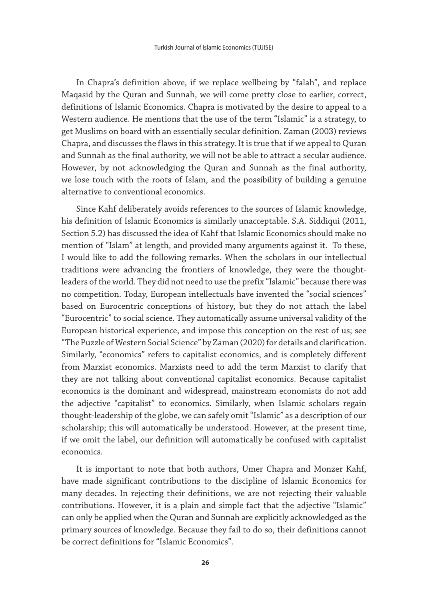In Chapra's definition above, if we replace wellbeing by "falah", and replace Maqasid by the Quran and Sunnah, we will come pretty close to earlier, correct, definitions of Islamic Economics. Chapra is motivated by the desire to appeal to a Western audience. He mentions that the use of the term "Islamic" is a strategy, to get Muslims on board with an essentially secular definition. Zaman (2003) reviews Chapra, and discusses the flaws in this strategy. It is true that if we appeal to Quran and Sunnah as the final authority, we will not be able to attract a secular audience. However, by not acknowledging the Quran and Sunnah as the final authority, we lose touch with the roots of Islam, and the possibility of building a genuine alternative to conventional economics.

Since Kahf deliberately avoids references to the sources of Islamic knowledge, his definition of Islamic Economics is similarly unacceptable. S.A. Siddiqui (2011, Section 5.2) has discussed the idea of Kahf that Islamic Economics should make no mention of "Islam" at length, and provided many arguments against it. To these, I would like to add the following remarks. When the scholars in our intellectual traditions were advancing the frontiers of knowledge, they were the thoughtleaders of the world. They did not need to use the prefix "Islamic" because there was no competition. Today, European intellectuals have invented the "social sciences" based on Eurocentric conceptions of history, but they do not attach the label "Eurocentric" to social science. They automatically assume universal validity of the European historical experience, and impose this conception on the rest of us; see "The Puzzle of Western Social Science" by Zaman (2020) for details and clarification. Similarly, "economics" refers to capitalist economics, and is completely different from Marxist economics. Marxists need to add the term Marxist to clarify that they are not talking about conventional capitalist economics. Because capitalist economics is the dominant and widespread, mainstream economists do not add the adjective "capitalist" to economics. Similarly, when Islamic scholars regain thought-leadership of the globe, we can safely omit "Islamic" as a description of our scholarship; this will automatically be understood. However, at the present time, if we omit the label, our definition will automatically be confused with capitalist economics.

It is important to note that both authors, Umer Chapra and Monzer Kahf, have made significant contributions to the discipline of Islamic Economics for many decades. In rejecting their definitions, we are not rejecting their valuable contributions. However, it is a plain and simple fact that the adjective "Islamic" can only be applied when the Quran and Sunnah are explicitly acknowledged as the primary sources of knowledge. Because they fail to do so, their definitions cannot be correct definitions for "Islamic Economics".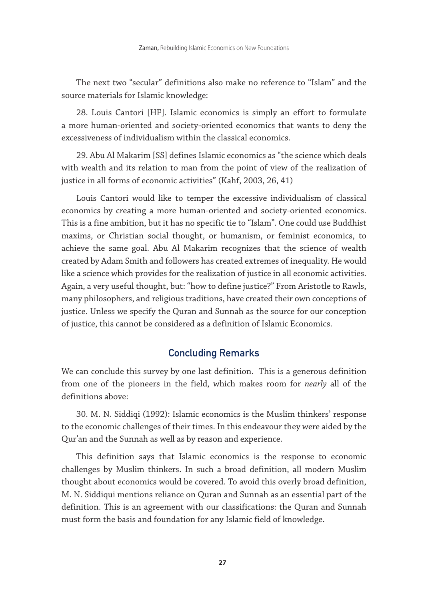The next two "secular" definitions also make no reference to "Islam" and the source materials for Islamic knowledge:

28. Louis Cantori [HF]. Islamic economics is simply an effort to formulate a more human-oriented and society-oriented economics that wants to deny the excessiveness of individualism within the classical economics.

29. Abu Al Makarim [SS] defines Islamic economics as "the science which deals with wealth and its relation to man from the point of view of the realization of justice in all forms of economic activities" (Kahf, 2003, 26, 41)

Louis Cantori would like to temper the excessive individualism of classical economics by creating a more human-oriented and society-oriented economics. This is a fine ambition, but it has no specific tie to "Islam". One could use Buddhist maxims, or Christian social thought, or humanism, or feminist economics, to achieve the same goal. Abu Al Makarim recognizes that the science of wealth created by Adam Smith and followers has created extremes of inequality. He would like a science which provides for the realization of justice in all economic activities. Again, a very useful thought, but: "how to define justice?" From Aristotle to Rawls, many philosophers, and religious traditions, have created their own conceptions of justice. Unless we specify the Quran and Sunnah as the source for our conception of justice, this cannot be considered as a definition of Islamic Economics.

# Concluding Remarks

We can conclude this survey by one last definition. This is a generous definition from one of the pioneers in the field, which makes room for *nearly* all of the definitions above:

30. M. N. Siddiqi (1992): Islamic economics is the Muslim thinkers' response to the economic challenges of their times. In this endeavour they were aided by the Qur'an and the Sunnah as well as by reason and experience.

This definition says that Islamic economics is the response to economic challenges by Muslim thinkers. In such a broad definition, all modern Muslim thought about economics would be covered. To avoid this overly broad definition, M. N. Siddiqui mentions reliance on Quran and Sunnah as an essential part of the definition. This is an agreement with our classifications: the Quran and Sunnah must form the basis and foundation for any Islamic field of knowledge.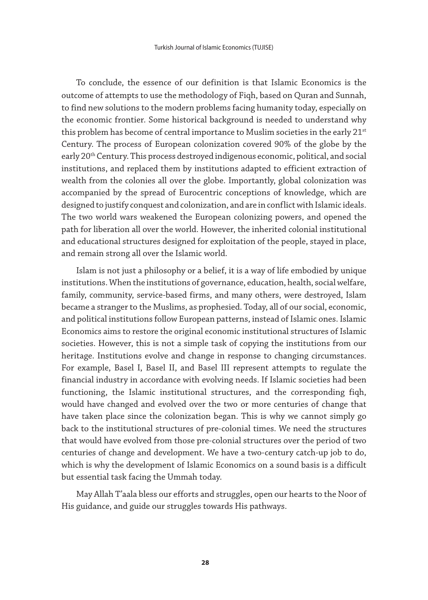To conclude, the essence of our definition is that Islamic Economics is the outcome of attempts to use the methodology of Fiqh, based on Quran and Sunnah, to find new solutions to the modern problems facing humanity today, especially on the economic frontier. Some historical background is needed to understand why this problem has become of central importance to Muslim societies in the early 21<sup>st</sup> Century. The process of European colonization covered 90% of the globe by the early 20<sup>th</sup> Century. This process destroyed indigenous economic, political, and social institutions, and replaced them by institutions adapted to efficient extraction of wealth from the colonies all over the globe. Importantly, global colonization was accompanied by the spread of Eurocentric conceptions of knowledge, which are designed to justify conquest and colonization, and are in conflict with Islamic ideals. The two world wars weakened the European colonizing powers, and opened the path for liberation all over the world. However, the inherited colonial institutional and educational structures designed for exploitation of the people, stayed in place, and remain strong all over the Islamic world.

Islam is not just a philosophy or a belief, it is a way of life embodied by unique institutions. When the institutions of governance, education, health, social welfare, family, community, service-based firms, and many others, were destroyed, Islam became a stranger to the Muslims, as prophesied. Today, all of our social, economic, and political institutions follow European patterns, instead of Islamic ones. Islamic Economics aims to restore the original economic institutional structures of Islamic societies. However, this is not a simple task of copying the institutions from our heritage. Institutions evolve and change in response to changing circumstances. For example, Basel I, Basel II, and Basel III represent attempts to regulate the financial industry in accordance with evolving needs. If Islamic societies had been functioning, the Islamic institutional structures, and the corresponding fiqh, would have changed and evolved over the two or more centuries of change that have taken place since the colonization began. This is why we cannot simply go back to the institutional structures of pre-colonial times. We need the structures that would have evolved from those pre-colonial structures over the period of two centuries of change and development. We have a two-century catch-up job to do, which is why the development of Islamic Economics on a sound basis is a difficult but essential task facing the Ummah today.

May Allah T'aala bless our efforts and struggles, open our hearts to the Noor of His guidance, and guide our struggles towards His pathways.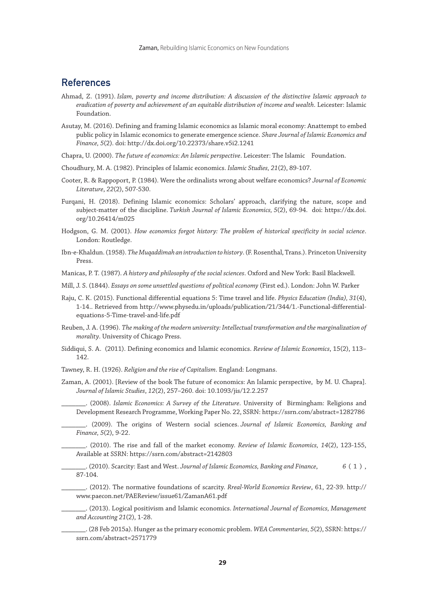## References

- Ahmad, Z. (1991). *Islam, poverty and income distribution: A discussion of the distinctive Islamic approach to eradication of poverty and achievement of an equitable distribution of income and wealth*. Leicester: Islamic Foundation.
- Asutay, M. (2016). Defining and framing Islamic economics as Islamic moral economy: Anattempt to embed public policy in Islamic economics to generate emergence science. *Share Journal of Islamic Economics and Finance, 5*(2). doi: http://dx.doi.org/10.22373/share.v5i2.1241
- Chapra, U. (2000). *The future of economics: An Islamic perspective*. Leicester: The Islamic Foundation.
- Choudhury, M. A. (1982). Principles of Islamic economics. *Islamic Studies, 21*(2), 89-107.
- Cooter, R. & Rappoport, P. (1984). Were the ordinalists wrong about welfare economics? *Journal of Economic Literature*, *22*(2), 507-530.
- Furqani, H. (2018). Defining Islamic economics: Scholars' approach, clarifying the nature, scope and subject-matter of the discipline. *Turkish Journal of Islamic Economics, 5*(2), 69-94. doi: https://dx.doi. org/10.26414/m025
- Hodgson, G. M. (2001). *How economics forgot history: The problem of historical specificity in social science*. London: Routledge.
- Ibn-e-Khaldun. (1958). *The Muqaddimah an introduction to history*. (F. Rosenthal, Trans.). Princeton University Press.
- Manicas, P. T. (1987). *A history and philosophy of the social sciences*. Oxford and New York: Basil Blackwell.
- Mill, J. S. (1844). *Essays on some unsettled questions of political economy* (First ed.). London: John W. Parker
- Raju, C. K. (2015). Functional differential equations 5: Time travel and life. *Physics Education (India), 31*(4), 1-14.. Retrieved from http://www.physedu.in/uploads/publication/21/344/1.-Functional-differentialequations-5-Time-travel-and-life.pdf
- Reuben, J. A. (1996). *The making of the modern university: Intellectual transformation and the marginalization of morality*. University of Chicago Press.
- Siddiqui, S. A. (2011). Defining economics and Islamic economics. *Review of Islamic Economics*, 15(2), 113– 142.
- Tawney, R. H. (1926). *Religion and the rise of Capitalism*. England: Longmans.
- Zaman, A. (2001). [Review of the book The future of economics: An Islamic perspective, by M. U. Chapra]. *Journal of Islamic Studies*, *12*(2), 257–260. doi: 10.1093/jis/12.2.257

\_\_\_\_\_\_\_. (2008). *Islamic Economics: A Survey of the Literature*. University of Birmingham: Religions and Development Research Programme, Working Paper No. 22, SSRN: https://ssrn.com/abstract=1282786

\_\_\_\_\_\_\_. (2009). The origins of Western social sciences. *Journal of Islamic Economics, Banking and Finance, 5*(2), 9-22.

\_\_\_\_\_\_\_. (2010). The rise and fall of the market economy. *Review of Islamic Economics, 14*(2), 123-155, Available at SSRN: https://ssrn.com/abstract=2142803

\_\_\_\_\_\_\_. (2010). Scarcity: East and West. *Journal of Islamic Economics, Banking and Finance*, *6* ( 1 ) , 87-104.

\_\_\_\_\_\_\_. (2012). The normative foundations of scarcity. *Rreal-World Economics Review*, 61, 22-39. http:// www.paecon.net/PAEReview/issue61/ZamanA61.pdf

\_\_\_\_\_\_\_. (2013). Logical positivism and Islamic economics. *International Journal of Economics, Management and Accounting 21*(2), 1-28.

\_\_\_\_\_\_\_. (28 Feb 2015a). Hunger as the primary economic problem. *WEA Commentaries, 5*(2), SSRN: https:// ssrn.com/abstract=2571779